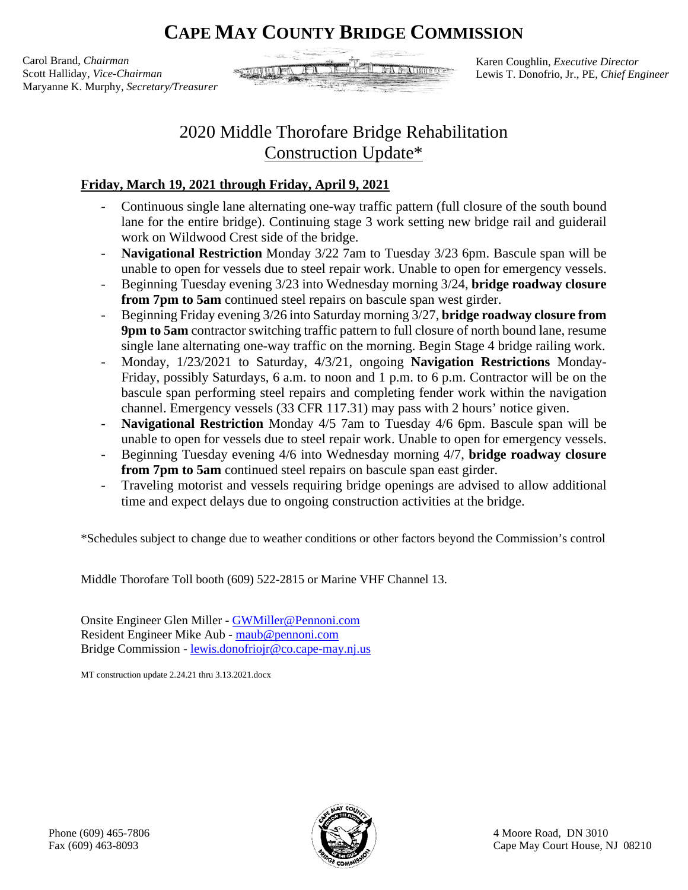## **CAPE MAY COUNTY BRIDGE COMMISSION**

Carol Brand, *Chairman* Scott Halliday, *Vice-Chairman* Maryanne K. Murphy, *Secretary/Treasurer*



Karen Coughlin, *Executive Director* Lewis T. Donofrio, Jr., PE, *Chief Engineer*

## 2020 Middle Thorofare Bridge Rehabilitation Construction Update\*

## **Friday, March 19, 2021 through Friday, April 9, 2021**

- Continuous single lane alternating one-way traffic pattern (full closure of the south bound lane for the entire bridge). Continuing stage 3 work setting new bridge rail and guiderail work on Wildwood Crest side of the bridge.
- **Navigational Restriction** Monday 3/22 7am to Tuesday 3/23 6pm. Bascule span will be unable to open for vessels due to steel repair work. Unable to open for emergency vessels.
- Beginning Tuesday evening 3/23 into Wednesday morning 3/24, **bridge roadway closure from 7pm to 5am** continued steel repairs on bascule span west girder.
- Beginning Friday evening 3/26 into Saturday morning 3/27, **bridge roadway closure from 9pm to 5am** contractor switching traffic pattern to full closure of north bound lane, resume single lane alternating one-way traffic on the morning. Begin Stage 4 bridge railing work.
- Monday, 1/23/2021 to Saturday, 4/3/21, ongoing **Navigation Restrictions** Monday-Friday, possibly Saturdays, 6 a.m. to noon and 1 p.m. to 6 p.m. Contractor will be on the bascule span performing steel repairs and completing fender work within the navigation channel. Emergency vessels (33 CFR 117.31) may pass with 2 hours' notice given.
- **Navigational Restriction** Monday 4/5 7am to Tuesday 4/6 6pm. Bascule span will be unable to open for vessels due to steel repair work. Unable to open for emergency vessels.
- Beginning Tuesday evening 4/6 into Wednesday morning 4/7, **bridge roadway closure from 7pm to 5am** continued steel repairs on bascule span east girder.
- Traveling motorist and vessels requiring bridge openings are advised to allow additional time and expect delays due to ongoing construction activities at the bridge.

\*Schedules subject to change due to weather conditions or other factors beyond the Commission's control

Middle Thorofare Toll booth (609) 522-2815 or Marine VHF Channel 13.

Onsite Engineer Glen Miller - [GWMiller@Pennoni.com](mailto:GWMiller@Pennoni.com) Resident Engineer Mike Aub - [maub@pennoni.com](mailto:maub@pennoni.com) Bridge Commission - [lewis.donofriojr@co.cape-may.nj.us](mailto:lewis.donofriojr@co.cape-may.nj.us)

MT construction update 2.24.21 thru 3.13.2021.docx